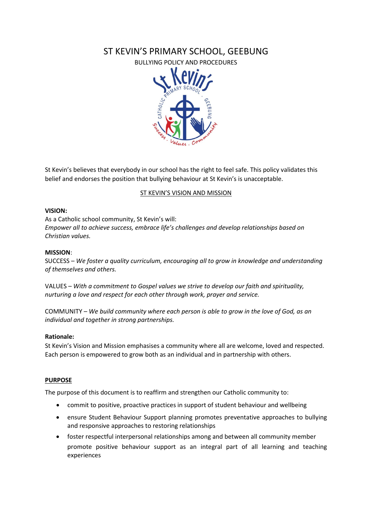# ST KEVIN'S PRIMARY SCHOOL, GEEBUNG

BULLYING POLICY AND PROCEDURES



St Kevin's believes that everybody in our school has the right to feel safe. This policy validates this belief and endorses the position that bullying behaviour at St Kevin's is unacceptable.

#### ST KEVIN'S VISION AND MISSION

#### **VISION:**

As a Catholic school community, St Kevin's will: *Empower all to achieve success, embrace life's challenges and develop relationships based on Christian values.*

#### **MISSION**:

SUCCESS – *We foster a quality curriculum, encouraging all to grow in knowledge and understanding of themselves and others.*

VALUES *– With a commitment to Gospel values we strive to develop our faith and spirituality, nurturing a love and respect for each other through work, prayer and service.*

COMMUNITY *– We build community where each person is able to grow in the love of God, as an individual and together in strong partnerships.*

#### **Rationale:**

St Kevin's Vision and Mission emphasises a community where all are welcome, loved and respected. Each person is empowered to grow both as an individual and in partnership with others.

#### **PURPOSE**

The purpose of this document is to reaffirm and strengthen our Catholic community to:

- commit to positive, proactive practices in support of student behaviour and wellbeing
- ensure Student Behaviour Support planning promotes preventative approaches to bullying and responsive approaches to restoring relationships
- foster respectful interpersonal relationships among and between all community member promote positive behaviour support as an integral part of all learning and teaching experiences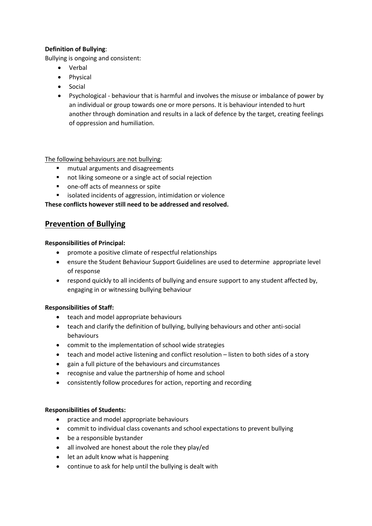## **Definition of Bullying**:

Bullying is ongoing and consistent:

- Verbal
- Physical
- Social
- Psychological behaviour that is harmful and involves the misuse or imbalance of power by an individual or group towards one or more persons. It is behaviour intended to hurt another through domination and results in a lack of defence by the target, creating feelings of oppression and humiliation.

## The following behaviours are not bullying:

- **n** mutual arguments and disagreements
- not liking someone or a single act of social rejection
- **•** one-off acts of meanness or spite
- isolated incidents of aggression, intimidation or violence

**These conflicts however still need to be addressed and resolved.**

## **Prevention of Bullying**

#### **Responsibilities of Principal:**

- promote a positive climate of respectful relationships
- ensure the Student Behaviour Support Guidelines are used to determine appropriate level of response
- respond quickly to all incidents of bullying and ensure support to any student affected by, engaging in or witnessing bullying behaviour

## **Responsibilities of Staff:**

- teach and model appropriate behaviours
- teach and clarify the definition of bullying, bullying behaviours and other anti-social behaviours
- commit to the implementation of school wide strategies
- teach and model active listening and conflict resolution listen to both sides of a story
- gain a full picture of the behaviours and circumstances
- recognise and value the partnership of home and school
- consistently follow procedures for action, reporting and recording

## **Responsibilities of Students:**

- practice and model appropriate behaviours
- commit to individual class covenants and school expectations to prevent bullying
- be a responsible bystander
- all involved are honest about the role they play/ed
- let an adult know what is happening
- continue to ask for help until the bullying is dealt with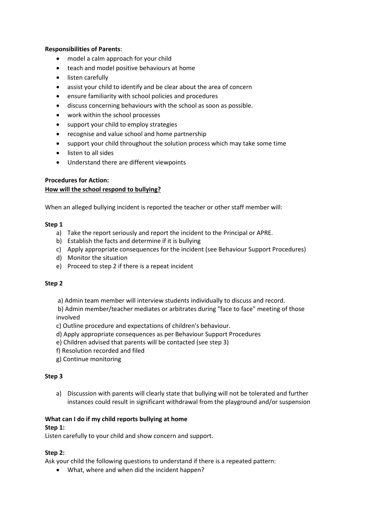#### **Responsibilities of Parents**:

- model a calm approach for your child
- teach and model positive behaviours at home
- listen carefully
- assist your child to identify and be clear about the area of concern
- ensure familiarity with school policies and procedures
- discuss concerning behaviours with the school as soon as possible.
- work within the school processes
- support your child to employ strategies
- recognise and value school and home partnership
- support your child throughout the solution process which may take some time
- listen to all sides
- Understand there are different viewpoints

## **Procedures for Action:**

## **How will the school respond to bullying?**

When an alleged bullying incident is reported the teacher or other staff member will:

#### **Step 1**

- a) Take the report seriously and report the incident to the Principal or APRE.
- b) Establish the facts and determine if it is bullying
- c) Apply appropriate consequences for the incident (see Behaviour Support Procedures)
- d) Monitor the situation
- e) Proceed to step 2 if there is a repeat incident

## **Step 2**

a) Admin team member will interview students individually to discuss and record.

b) Admin member/teacher mediates or arbitrates during "face to face" meeting of those involved

c) Outline procedure and expectations of children's behaviour.

- d) Apply appropriate consequences as per Behaviour Support Procedures
- e) Children advised that parents will be contacted (see step 3)
- f) Resolution recorded and filed
- g) Continue monitoring

## **Step 3**

a) Discussion with parents will clearly state that bullying will not be tolerated and further instances could result in significant withdrawal from the playground and/or suspension

## **What can I do if my child reports bullying at home**

#### **Step 1:**

Listen carefully to your child and show concern and support.

## **Step 2:**

Ask your child the following questions to understand if there is a repeated pattern:

• What, where and when did the incident happen?